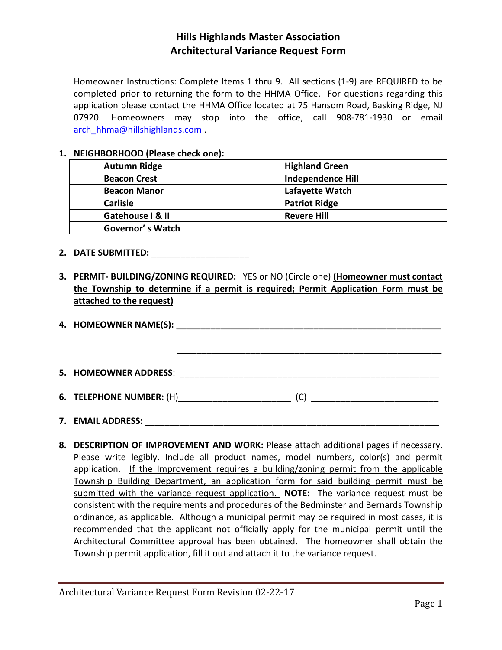## **Hills Highlands Master Association Architectural Variance Request Form**

Homeowner Instructions: Complete Items 1 thru 9. All sections (1-9) are REQUIRED to be completed prior to returning the form to the HHMA Office. For questions regarding this application please contact the HHMA Office located at 75 Hansom Road, Basking Ridge, NJ 07920. Homeowners may stop into the office, call 908-781-1930 or email [arch\\_hhma@hillshighlands.com](mailto:arch_hhma@hillshighlands.com) .

### **1. NEIGHBORHOOD (Please check one):**

| <b>Autumn Ridge</b> | <b>Highland Green</b>    |
|---------------------|--------------------------|
| <b>Beacon Crest</b> | <b>Independence Hill</b> |
| <b>Beacon Manor</b> | Lafayette Watch          |
| <b>Carlisle</b>     | <b>Patriot Ridge</b>     |
| Gatehouse I & II    | <b>Revere Hill</b>       |
| Governor's Watch    |                          |

#### **2. DATE SUBMITTED:** \_\_\_\_\_\_\_\_\_\_\_\_\_\_\_\_\_\_\_\_

**3. PERMIT- BUILDING/ZONING REQUIRED:** YES or NO (Circle one) **(Homeowner must contact the Township to determine if a permit is required; Permit Application Form must be attached to the request)**

| 6. TELEPHONE NUMBER: (H) | (C) |
|--------------------------|-----|
|                          |     |
| 7. EMAIL ADDRESS:        |     |

**8. DESCRIPTION OF IMPROVEMENT AND WORK:** Please attach additional pages if necessary. Please write legibly. Include all product names, model numbers, color(s) and permit application. If the Improvement requires a building/zoning permit from the applicable Township Building Department, an application form for said building permit must be submitted with the variance request application. **NOTE:** The variance request must be consistent with the requirements and procedures of the Bedminster and Bernards Township ordinance, as applicable. Although a municipal permit may be required in most cases, it is recommended that the applicant not officially apply for the municipal permit until the Architectural Committee approval has been obtained. The homeowner shall obtain the Township permit application, fill it out and attach it to the variance request.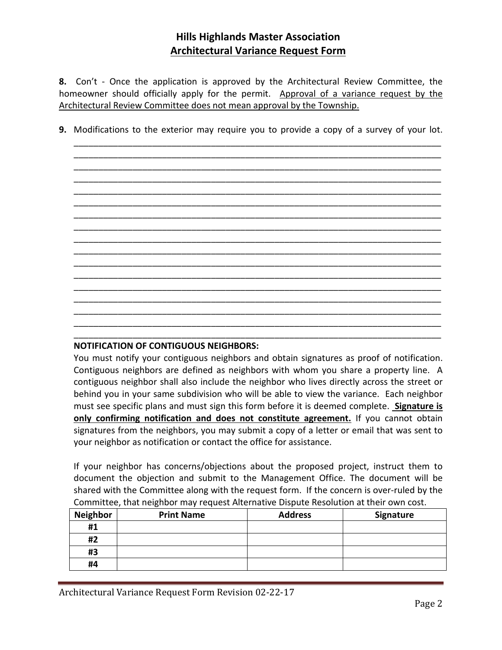## **Hills Highlands Master Association Architectural Variance Request Form**

**8.** Con't - Once the application is approved by the Architectural Review Committee, the homeowner should officially apply for the permit. Approval of a variance request by the Architectural Review Committee does not mean approval by the Township.

**9.** Modifications to the exterior may require you to provide a copy of a survey of your lot.

\_\_\_\_\_\_\_\_\_\_\_\_\_\_\_\_\_\_\_\_\_\_\_\_\_\_\_\_\_\_\_\_\_\_\_\_\_\_\_\_\_\_\_\_\_\_\_\_\_\_\_\_\_\_\_\_\_\_\_\_\_\_\_\_\_\_\_\_\_\_\_\_\_\_\_ \_\_\_\_\_\_\_\_\_\_\_\_\_\_\_\_\_\_\_\_\_\_\_\_\_\_\_\_\_\_\_\_\_\_\_\_\_\_\_\_\_\_\_\_\_\_\_\_\_\_\_\_\_\_\_\_\_\_\_\_\_\_\_\_\_\_\_\_\_\_\_\_\_\_\_

\_\_\_\_\_\_\_\_\_\_\_\_\_\_\_\_\_\_\_\_\_\_\_\_\_\_\_\_\_\_\_\_\_\_\_\_\_\_\_\_\_\_\_\_\_\_\_\_\_\_\_\_\_\_\_\_\_\_\_\_\_\_\_\_\_\_\_\_\_\_\_\_\_\_\_ \_\_\_\_\_\_\_\_\_\_\_\_\_\_\_\_\_\_\_\_\_\_\_\_\_\_\_\_\_\_\_\_\_\_\_\_\_\_\_\_\_\_\_\_\_\_\_\_\_\_\_\_\_\_\_\_\_\_\_\_\_\_\_\_\_\_\_\_\_\_\_\_\_\_\_ \_\_\_\_\_\_\_\_\_\_\_\_\_\_\_\_\_\_\_\_\_\_\_\_\_\_\_\_\_\_\_\_\_\_\_\_\_\_\_\_\_\_\_\_\_\_\_\_\_\_\_\_\_\_\_\_\_\_\_\_\_\_\_\_\_\_\_\_\_\_\_\_\_\_\_ \_\_\_\_\_\_\_\_\_\_\_\_\_\_\_\_\_\_\_\_\_\_\_\_\_\_\_\_\_\_\_\_\_\_\_\_\_\_\_\_\_\_\_\_\_\_\_\_\_\_\_\_\_\_\_\_\_\_\_\_\_\_\_\_\_\_\_\_\_\_\_\_\_\_\_ \_\_\_\_\_\_\_\_\_\_\_\_\_\_\_\_\_\_\_\_\_\_\_\_\_\_\_\_\_\_\_\_\_\_\_\_\_\_\_\_\_\_\_\_\_\_\_\_\_\_\_\_\_\_\_\_\_\_\_\_\_\_\_\_\_\_\_\_\_\_\_\_\_\_\_ \_\_\_\_\_\_\_\_\_\_\_\_\_\_\_\_\_\_\_\_\_\_\_\_\_\_\_\_\_\_\_\_\_\_\_\_\_\_\_\_\_\_\_\_\_\_\_\_\_\_\_\_\_\_\_\_\_\_\_\_\_\_\_\_\_\_\_\_\_\_\_\_\_\_\_ \_\_\_\_\_\_\_\_\_\_\_\_\_\_\_\_\_\_\_\_\_\_\_\_\_\_\_\_\_\_\_\_\_\_\_\_\_\_\_\_\_\_\_\_\_\_\_\_\_\_\_\_\_\_\_\_\_\_\_\_\_\_\_\_\_\_\_\_\_\_\_\_\_\_\_ \_\_\_\_\_\_\_\_\_\_\_\_\_\_\_\_\_\_\_\_\_\_\_\_\_\_\_\_\_\_\_\_\_\_\_\_\_\_\_\_\_\_\_\_\_\_\_\_\_\_\_\_\_\_\_\_\_\_\_\_\_\_\_\_\_\_\_\_\_\_\_\_\_\_\_ \_\_\_\_\_\_\_\_\_\_\_\_\_\_\_\_\_\_\_\_\_\_\_\_\_\_\_\_\_\_\_\_\_\_\_\_\_\_\_\_\_\_\_\_\_\_\_\_\_\_\_\_\_\_\_\_\_\_\_\_\_\_\_\_\_\_\_\_\_\_\_\_\_\_\_ \_\_\_\_\_\_\_\_\_\_\_\_\_\_\_\_\_\_\_\_\_\_\_\_\_\_\_\_\_\_\_\_\_\_\_\_\_\_\_\_\_\_\_\_\_\_\_\_\_\_\_\_\_\_\_\_\_\_\_\_\_\_\_\_\_\_\_\_\_\_\_\_\_\_\_ \_\_\_\_\_\_\_\_\_\_\_\_\_\_\_\_\_\_\_\_\_\_\_\_\_\_\_\_\_\_\_\_\_\_\_\_\_\_\_\_\_\_\_\_\_\_\_\_\_\_\_\_\_\_\_\_\_\_\_\_\_\_\_\_\_\_\_\_\_\_\_\_\_\_\_ \_\_\_\_\_\_\_\_\_\_\_\_\_\_\_\_\_\_\_\_\_\_\_\_\_\_\_\_\_\_\_\_\_\_\_\_\_\_\_\_\_\_\_\_\_\_\_\_\_\_\_\_\_\_\_\_\_\_\_\_\_\_\_\_\_\_\_\_\_\_\_\_\_\_\_ \_\_\_\_\_\_\_\_\_\_\_\_\_\_\_\_\_\_\_\_\_\_\_\_\_\_\_\_\_\_\_\_\_\_\_\_\_\_\_\_\_\_\_\_\_\_\_\_\_\_\_\_\_\_\_\_\_\_\_\_\_\_\_\_\_\_\_\_\_\_\_\_\_\_\_ \_\_\_\_\_\_\_\_\_\_\_\_\_\_\_\_\_\_\_\_\_\_\_\_\_\_\_\_\_\_\_\_\_\_\_\_\_\_\_\_\_\_\_\_\_\_\_\_\_\_\_\_\_\_\_\_\_\_\_\_\_\_\_\_\_\_\_\_\_\_\_\_\_\_\_ \_\_\_\_\_\_\_\_\_\_\_\_\_\_\_\_\_\_\_\_\_\_\_\_\_\_\_\_\_\_\_\_\_\_\_\_\_\_\_\_\_\_\_\_\_\_\_\_\_\_\_\_\_\_\_\_\_\_\_\_\_\_\_\_\_\_\_\_\_\_\_\_\_\_\_

#### **NOTIFICATION OF CONTIGUOUS NEIGHBORS:**

You must notify your contiguous neighbors and obtain signatures as proof of notification. Contiguous neighbors are defined as neighbors with whom you share a property line. A contiguous neighbor shall also include the neighbor who lives directly across the street or behind you in your same subdivision who will be able to view the variance. Each neighbor must see specific plans and must sign this form before it is deemed complete. **Signature is only confirming notification and does not constitute agreement.** If you cannot obtain signatures from the neighbors, you may submit a copy of a letter or email that was sent to your neighbor as notification or contact the office for assistance.

If your neighbor has concerns/objections about the proposed project, instruct them to document the objection and submit to the Management Office. The document will be shared with the Committee along with the request form. If the concern is over-ruled by the Committee, that neighbor may request Alternative Dispute Resolution at their own cost.

| <b>Neighbor</b> | <b>Print Name</b> | <b>Address</b> | Signature |
|-----------------|-------------------|----------------|-----------|
| #1              |                   |                |           |
| #2              |                   |                |           |
| #3              |                   |                |           |
| #4              |                   |                |           |

Architectural Variance Request Form Revision 02-22-17